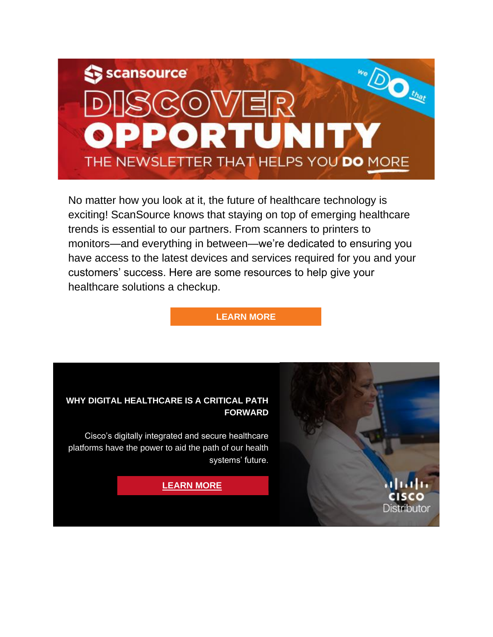

No matter how you look at it, the future of healthcare technology is exciting! ScanSource knows that staying on top of emerging healthcare trends is essential to our partners. From scanners to printers to monitors—and everything in between—we're dedicated to ensuring you have access to the latest devices and services required for you and your customers' success. Here are some resources to help give your healthcare solutions a checkup.

#### **[LEARN MORE](https://www5.scansource.com/e/704223/l-marketing-program-healthcare/2w1yw8/382414669?h=-Px-5bO_fhYbX6s6IlORSExjP6z_L0yzCjeNfyNcc8k)**

CISCO **Distributor** 



Cisco's digitally integrated and secure healthcare platforms have the power to aid the path of our health systems' future.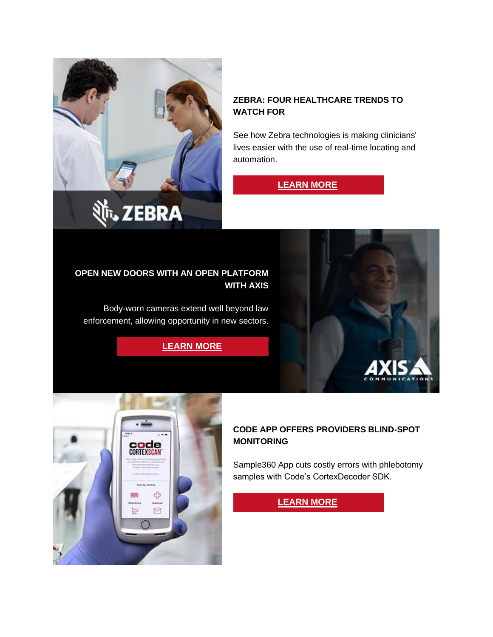

#### **ZEBRA: FOUR HEALTHCARE TRENDS TO WATCH FOR**

See how Zebra technologies is making clinicians' lives easier with the use of real-time locating and automation.

# **[LEARN MORE](https://www5.scansource.com/e/704223/-himss-2022-conversations-html/2w1ywg/382414669?h=-Px-5bO_fhYbX6s6IlORSExjP6z_L0yzCjeNfyNcc8k)**

#### **OPEN NEW DOORS WITH AN OPEN PLATFORM WITH AXIS**

Body-worn cameras extend well beyond law enforcement, allowing opportunity in new sectors.

**[LEARN MORE](https://www5.scansource.com/e/704223/3JIZIbB/2w1ywk/382414669?h=-Px-5bO_fhYbX6s6IlORSExjP6z_L0yzCjeNfyNcc8k)**





### **CODE APP OFFERS PROVIDERS BLIND-SPOT MONITORING**

Sample360 App cuts costly errors with phlebotomy samples with Code's CortexDecoder SDK.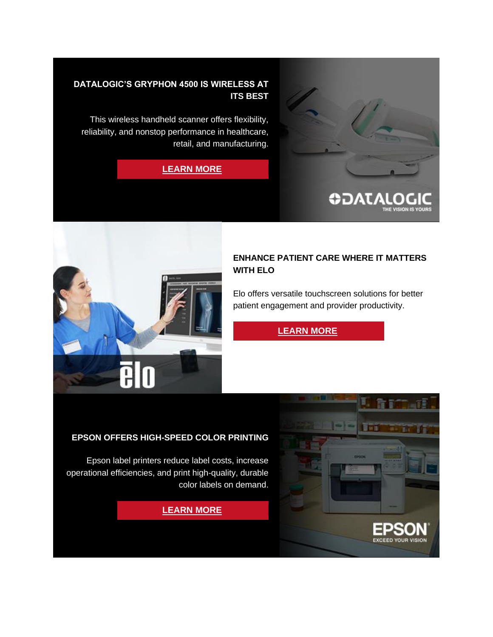

#### **DATALOGIC'S GRYPHON 4500 IS WIRELESS AT ITS BEST**

This wireless handheld scanner offers flexibility, reliability, and nonstop performance in healthcare, retail, and manufacturing.

**[LEARN MORE](https://www5.scansource.com/e/704223/ryphon-4500-series-pd-836-html/2w1ywr/382414669?h=-Px-5bO_fhYbX6s6IlORSExjP6z_L0yzCjeNfyNcc8k)**



#### **ENHANCE PATIENT CARE WHERE IT MATTERS WITH ELO**

Elo offers versatile touchscreen solutions for better patient engagement and provider productivity.

# **[LEARN MORE](https://www5.scansource.com/e/704223/healthcare/2w1ywv/382414669?h=-Px-5bO_fhYbX6s6IlORSExjP6z_L0yzCjeNfyNcc8k)**



#### **EPSON OFFERS HIGH-SPEED COLOR PRINTING**

Epson label printers reduce label costs, increase operational efficiencies, and print high-quality, durable color labels on demand.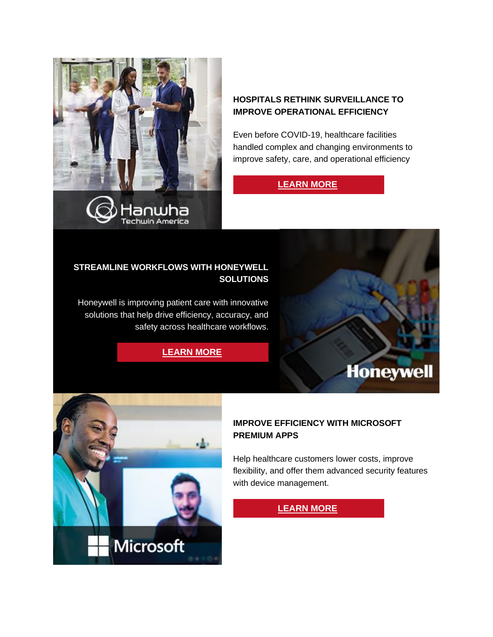

#### **HOSPITALS RETHINK SURVEILLANCE TO IMPROVE OPERATIONAL EFFICIENCY**

Even before COVID-19, healthcare facilities handled complex and changing environments to improve safety, care, and operational efficiency

# **[LEARN MORE](https://www5.scansource.com/e/704223/mprove-operational-efficiency-/2w1yx2/382414669?h=-Px-5bO_fhYbX6s6IlORSExjP6z_L0yzCjeNfyNcc8k)**

#### **STREAMLINE WORKFLOWS WITH HONEYWELL SOLUTIONS**

Honeywell is improving patient care with innovative solutions that help drive efficiency, accuracy, and safety across healthcare workflows.

**[LEARN MORE](https://www5.scansource.com/e/704223/watch-v-Mxdhpi6cStc/2w1yx5/382414669?h=-Px-5bO_fhYbX6s6IlORSExjP6z_L0yzCjeNfyNcc8k)**





### **IMPROVE EFFICIENCY WITH MICROSOFT PREMIUM APPS**

Help healthcare customers lower costs, improve flexibility, and offer them advanced security features with device management.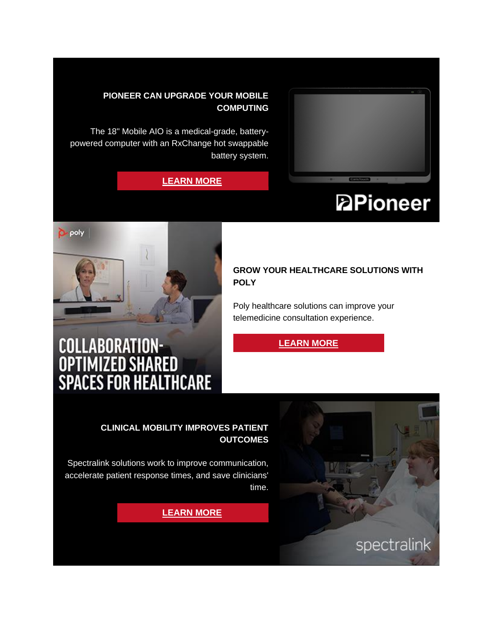

# **PIONEER CAN UPGRADE YOUR MOBILE COMPUTING**

The 18" Mobile AIO is a medical-grade, batterypowered computer with an RxChange hot swappable battery system.

### **[LEARN MORE](https://www5.scansource.com/e/704223/938d13ad1bb9bc8aea78b9343046ac/2w1yxc/382414669?h=-Px-5bO_fhYbX6s6IlORSExjP6z_L0yzCjeNfyNcc8k)**

# **PPioneer**



#### **GROW YOUR HEALTHCARE SOLUTIONS WITH POLY**

Poly healthcare solutions can improve your telemedicine consultation experience.

# **[LEARN MORE](https://www5.scansource.com/e/704223/651785127NrgazHlR-Poly-PDF-pdf/2w1yxg/382414669?h=-Px-5bO_fhYbX6s6IlORSExjP6z_L0yzCjeNfyNcc8k)**

# COLLABORATION-<br>Optimized Shared<br>Spaces for Healthcare



#### **CLINICAL MOBILITY IMPROVES PATIENT OUTCOMES**

Spectralink solutions work to improve communication, accelerate patient response times, and save clinicians' time.